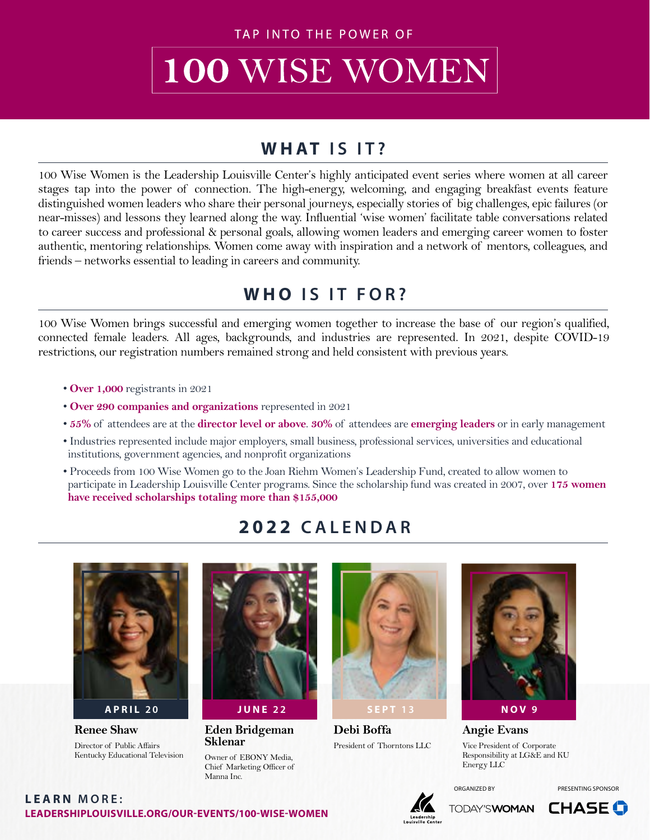TAP INTO THE POWER OF

# 100 WISE WOMEN

### **WHAT IS IT?**

100 Wise Women is the Leadership Louisville Center's highly anticipated event series where women at all career stages tap into the power of connection. The high-energy, welcoming, and engaging breakfast events feature distinguished women leaders who share their personal journeys, especially stories of big challenges, epic failures (or near-misses) and lessons they learned along the way. Influential 'wise women' facilitate table conversations related to career success and professional & personal goals, allowing women leaders and emerging career women to foster authentic, mentoring relationships. Women come away with inspiration and a network of mentors, colleagues, and friends – networks essential to leading in careers and community.

### **WHO IS IT FOR?**

100 Wise Women brings successful and emerging women together to increase the base of our region's qualified, connected female leaders. All ages, backgrounds, and industries are represented. In 2021, despite COVID-19 restrictions, our registration numbers remained strong and held consistent with previous years.

- **Over 1,000** registrants in 2021
- • **Over 290 companies and organizations** represented in 2021
- **55%** of attendees are at the **director level or above**. **30%** of attendees are **emerging leaders** or in early management
- Industries represented include major employers, small business, professional services, universities and educational institutions, government agencies, and nonprofit organizations
- Proceeds from 100 Wise Women go to the Joan Riehm Women's Leadership Fund, created to allow women to participate in Leadership Louisville Center programs. Since the scholarship fund was created in 2007, over **175 women have received scholarships totaling more than \$155,000**

#### **2022 CALENDAR**



**Renee Shaw** Director of Public Affairs Kentucky Educational Television



**Eden Bridgeman Sklenar** Owner of EBONY Media,

Chief Marketing Officer of

Manna Inc.



**Debi Boffa** President of Thorntons LLC



**Angie Evans** Vice President of Corporate Responsibility at LG&E and KU Energy LLC

**LEADERSHIPLOUISVILLE.ORG/OUR-EVENTS/100-WISE-WOMEN LEARN MORE:**